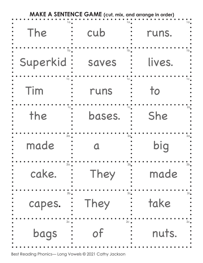| <b>MAKE A SENTENCE GAME</b> (cut, mix, and arrange in order) |                |                |
|--------------------------------------------------------------|----------------|----------------|
| la,                                                          | la,            | $1\alpha$      |
| The                                                          | cub            | runs.          |
| $1b_a$                                                       | $1b$ .         | $1b_{\bullet}$ |
| Superkid:                                                    | <b>SAVES</b>   | lives.         |
| lс                                                           | $1c$ .         | 1c             |
| Tim                                                          | runs           | to             |
| $1c_{\bullet}$<br>the                                        | bases.         | 2a<br>She      |
| 2α<br>made                                                   | $2a_{\bullet}$ | 2a<br>big      |
| 2a                                                           | $2b_{\bullet}$ | $2b_{\bullet}$ |
| cake.                                                        | They           | made           |
| $2b -$                                                       | $2c_{\bullet}$ | $2c_{\bullet}$ |
| capes.                                                       | They           | take           |
| 2c                                                           | $2c$ .         | $2c_{\bullet}$ |
| bags                                                         | 0t             | nuts.          |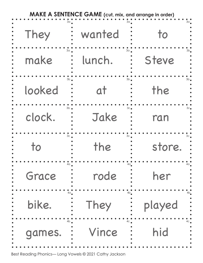| <b>MAKE A SENTENCE GAME</b> (cut, mix, and arrange in order) |                 |                 |
|--------------------------------------------------------------|-----------------|-----------------|
| Зα.                                                          | Зα.             | 3a              |
| They                                                         | wanted          | to              |
| 3a                                                           | $3a$ .          | 3b <sub>0</sub> |
| make                                                         | lunch.          | Steve           |
| 3b                                                           | $3b -$          | 3b <sub>1</sub> |
| looked                                                       | at              | the             |
| 3 <sub>b</sub>                                               | 3c <sub>0</sub> | 3с.             |
| clock.                                                       | Jake            | ran             |
| 3 <sub>c</sub><br>to                                         | Зс<br>the       | store.          |
| 4a                                                           | $4a_{\bullet}$  | 40 <sub>°</sub> |
| Grace                                                        | rode            | her             |
| $4a_{\bullet}$                                               | $4b_{\bullet}$  | 4b.             |
| bike.                                                        | They            | played          |
| 4b                                                           | 4c <sub>g</sub> | 4c.             |
| games.                                                       | Vince           | hid             |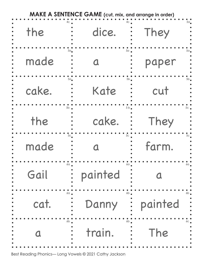| <b>MAKE A SENTENCE GAME</b> (cut, mix, and arrange in order) |                |                        |
|--------------------------------------------------------------|----------------|------------------------|
| the                                                          | dice.          | 5a<br>They             |
| $5a_{\bullet}$<br>made                                       | $5a$ .         | $5a_0$<br>paper        |
| $5a_{\bullet}$<br>cake.                                      | $5b$ .<br>Kate | 5b<br>cut              |
| 5b<br>the                                                    | 5b<br>cake.    | 5 <sub>c</sub><br>They |
| $5c_{\bullet}$<br>made                                       | 5 <sub>c</sub> | 5c<br>farm.            |
| 6a<br>Gail                                                   | 6a<br>painted  | 6a                     |
| 6a<br>cat.                                                   | 6b.<br>Danny   | 6b<br>painted          |
| 6b                                                           | 6b<br>train.   | 6c<br>The              |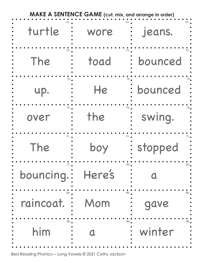| <b>MAKE A SENTENCE GAME</b> (cut, mix, and arrange in order) |                          |                           |
|--------------------------------------------------------------|--------------------------|---------------------------|
| turtle                                                       | wore                     | jeans.                    |
| 7a                                                           | $7a$ .                   | 7a.,                      |
| The                                                          | toad                     | bounced                   |
| 7a                                                           | $7b$ .                   | 7b <sub>0</sub>           |
| up.                                                          | He                       | bounced                   |
| 7b                                                           | 7b                       | 7b.                       |
| over                                                         | the                      | swing.                    |
| 7c                                                           | $7c$ $\epsilon$          | 7с.                       |
| The                                                          | boy                      | stopped                   |
| 7c<br>bouncing.:                                             | $8a_{\bullet}$<br>Here's | $8a_{\bullet}$            |
| 8a                                                           | $8b$ .                   | 8b                        |
| raincoat.                                                    | Mom                      | gave                      |
| 8b<br>him                                                    | 8b.                      | 8b <sub>1</sub><br>winter |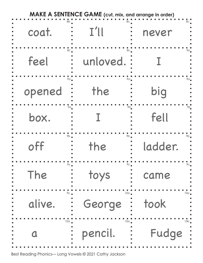| <b>MAKE A SENTENCE GAME</b> (cut, mix, and arrange in order) |                        |                        |
|--------------------------------------------------------------|------------------------|------------------------|
| coat.                                                        | I'll                   | 8c<br>never            |
| $8c_{\bullet}$<br>feel                                       | 8c<br>unloved.         | 9a                     |
| 9a <sub>0</sub><br>opened                                    | 9a<br>the              | 9a <sub>g</sub><br>big |
| 9α.<br>box.                                                  |                        | 9b.<br>fell            |
| 9b<br>off                                                    | 9b.<br>the             | 9b,<br>ladder.         |
| $9c_{\bullet}$<br>The                                        | $9c_{\bullet}$<br>toys | $9c_{\bullet}$<br>came |
| 9c<br>alive.                                                 | 10a<br>George          | 10a<br>took            |
| 10a                                                          | 10a .<br>pencil.       | 10b<br>Fudge           |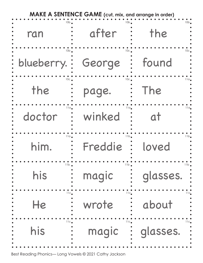| <b>MAKE A SENTENCE GAME</b> (cut, mix, and arrange in order) |                 |                       |
|--------------------------------------------------------------|-----------------|-----------------------|
| 10 <sub>b</sub>                                              | . 10b           | $10b$ .               |
| ran                                                          | after           | the                   |
| 10 <sub>b</sub>                                              | $10c$ .         | $10c_{\bullet}$       |
| blueberry. :                                                 | George          | found                 |
| 10c                                                          | 10c             | 11a                   |
| the                                                          | page.           | The                   |
| 11a <sub>e</sub><br>doctor                                   | winked          | $11a_{\bullet}$<br>at |
| 11a                                                          | $11b_{\bullet}$ | 11b.                  |
| him.                                                         | Freddie         | loved                 |
| $11b$ .                                                      | $11b$ .         | 11b                   |
| his                                                          | magic           | glasses.              |
| $11c_{\bullet}$                                              | $11c_{\bullet}$ | 11c                   |
| He                                                           | wrote           | about                 |
| $11c_{\bullet}$                                              | $11c_{\bullet}$ | 11c <sub>o</sub>      |
| his                                                          | magic           | glasses.              |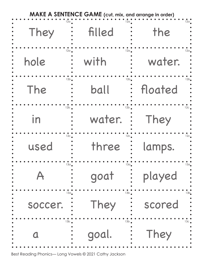| <b>MAKE A SENTENCE GAME</b> (cut, mix, and arrange in order) |                         |                           |
|--------------------------------------------------------------|-------------------------|---------------------------|
| 12a                                                          | 12a j                   | 12a                       |
| They                                                         | filled                  | the                       |
| 12a                                                          | 12a                     | 12a                       |
| hole                                                         | with                    | water.                    |
| 12b                                                          | $12b_{\bullet}$         | 12b <sub>4</sub>          |
| The                                                          | ball                    | floated                   |
| 12b                                                          | 12b                     | 12c                       |
| in                                                           | water.                  | They                      |
| 12c                                                          | $12c_{\bullet}$         | 12c                       |
| used                                                         | three                   | lamps.                    |
| $13a_{\bullet}$                                              | $13a_{\bullet}$<br>goat | $13a_{\bullet}$<br>played |
| 13a                                                          | 13b                     | 13b <sub>g</sub>          |
| soccer.                                                      | They                    | scored                    |
| 13b                                                          | 13b<br>goal.            | 13c<br>They               |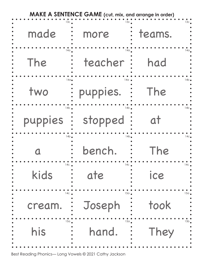| <b>MAKE A SENTENCE GAME</b> (cut, mix, and arrange in order) |                  |                 |
|--------------------------------------------------------------|------------------|-----------------|
| 13c                                                          | 13c.             | 13c             |
| made                                                         | more             | teams.          |
| 14a                                                          | 14a .            | 14a             |
| The                                                          | teacher          | had             |
| 140                                                          | 14α              | 14b             |
| two                                                          | puppies.         | The             |
| 14b                                                          | 14b              | 14 <sub>b</sub> |
| puppies                                                      | stopped          | at              |
| $14b$ $\bullet$                                              | 14b<br>bench.    | $14c_0$<br>The  |
| 14c                                                          | $14c$ $\epsilon$ | 14c             |
| kids                                                         | ate              | ice             |
| 14c                                                          | 15a              | 15a             |
| cream.                                                       | Joseph           | took            |
| 15a                                                          | 15a              | 15b             |
| his                                                          | hand.            | They            |